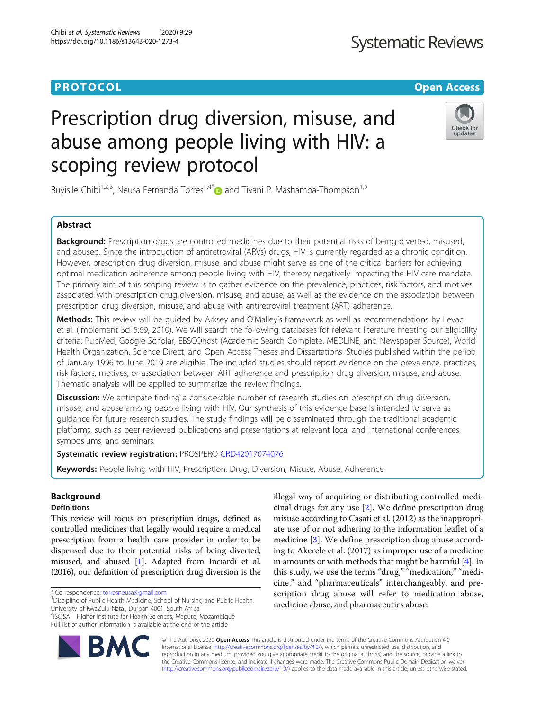# **PROTOCOL CONSUMING THE OPEN ACCESS**

# **Systematic Reviews**

# Prescription drug diversion, misuse, and abuse among people living with HIV: a scoping review protocol



Buyisile Chibi<sup>1,2,3</sup>, Neusa Fernanda Torres<sup>1,4\*</sup> $\bullet$  and Tivani P. Mashamba-Thompson<sup>1,5</sup>

# Abstract

Background: Prescription drugs are controlled medicines due to their potential risks of being diverted, misused, and abused. Since the introduction of antiretroviral (ARVs) drugs, HIV is currently regarded as a chronic condition. However, prescription drug diversion, misuse, and abuse might serve as one of the critical barriers for achieving optimal medication adherence among people living with HIV, thereby negatively impacting the HIV care mandate. The primary aim of this scoping review is to gather evidence on the prevalence, practices, risk factors, and motives associated with prescription drug diversion, misuse, and abuse, as well as the evidence on the association between prescription drug diversion, misuse, and abuse with antiretroviral treatment (ART) adherence.

Methods: This review will be quided by Arksey and O'Malley's framework as well as recommendations by Levac et al. (Implement Sci 5:69, 2010). We will search the following databases for relevant literature meeting our eligibility criteria: PubMed, Google Scholar, EBSCOhost (Academic Search Complete, MEDLINE, and Newspaper Source), World Health Organization, Science Direct, and Open Access Theses and Dissertations. Studies published within the period of January 1996 to June 2019 are eligible. The included studies should report evidence on the prevalence, practices, risk factors, motives, or association between ART adherence and prescription drug diversion, misuse, and abuse. Thematic analysis will be applied to summarize the review findings.

**Discussion:** We anticipate finding a considerable number of research studies on prescription drug diversion, misuse, and abuse among people living with HIV. Our synthesis of this evidence base is intended to serve as guidance for future research studies. The study findings will be disseminated through the traditional academic platforms, such as peer-reviewed publications and presentations at relevant local and international conferences, symposiums, and seminars.

Systematic review registration: PROSPERO [CRD42017074076](http://www.crd.york.ac.uk/PROSPERO)

Keywords: People living with HIV, Prescription, Drug, Diversion, Misuse, Abuse, Adherence

# Background

# Definitions

This review will focus on prescription drugs, defined as controlled medicines that legally would require a medical prescription from a health care provider in order to be dispensed due to their potential risks of being diverted, misused, and abused [\[1\]](#page-5-0). Adapted from Inciardi et al. (2016), our definition of prescription drug diversion is the

<sup>1</sup> Discipline of Public Health Medicine, School of Nursing and Public Health, University of KwaZulu-Natal, Durban 4001, South Africa 4 ISCISA—Higher Institute for Health Sciences, Maputo, Mozambique

Full list of author information is available at the end of the article



illegal way of acquiring or distributing controlled medicinal drugs for any use  $[2]$  $[2]$ . We define prescription drug misuse according to Casati et al. (2012) as the inappropriate use of or not adhering to the information leaflet of a medicine [\[3](#page-5-0)]. We define prescription drug abuse according to Akerele et al. (2017) as improper use of a medicine in amounts or with methods that might be harmful [\[4](#page-5-0)]. In this study, we use the terms "drug," "medication," "medicine," and "pharmaceuticals" interchangeably, and prescription drug abuse will refer to medication abuse, medicine abuse, and pharmaceutics abuse.

© The Author(s). 2020 **Open Access** This article is distributed under the terms of the Creative Commons Attribution 4.0 International License [\(http://creativecommons.org/licenses/by/4.0/](http://creativecommons.org/licenses/by/4.0/)), which permits unrestricted use, distribution, and reproduction in any medium, provided you give appropriate credit to the original author(s) and the source, provide a link to the Creative Commons license, and indicate if changes were made. The Creative Commons Public Domain Dedication waiver [\(http://creativecommons.org/publicdomain/zero/1.0/](http://creativecommons.org/publicdomain/zero/1.0/)) applies to the data made available in this article, unless otherwise stated.

<sup>\*</sup> Correspondence: [torresneusa@gmail.com](mailto:torresneusa@gmail.com) <sup>1</sup>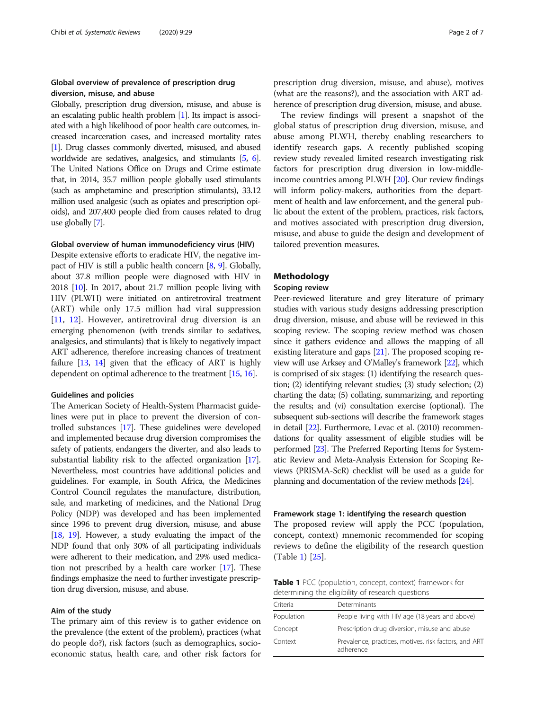# Global overview of prevalence of prescription drug diversion, misuse, and abuse

Globally, prescription drug diversion, misuse, and abuse is an escalating public health problem [\[1\]](#page-5-0). Its impact is associated with a high likelihood of poor health care outcomes, increased incarceration cases, and increased mortality rates [[1](#page-5-0)]. Drug classes commonly diverted, misused, and abused worldwide are sedatives, analgesics, and stimulants [[5](#page-5-0), [6](#page-5-0)]. The United Nations Office on Drugs and Crime estimate that, in 2014, 35.7 million people globally used stimulants (such as amphetamine and prescription stimulants), 33.12 million used analgesic (such as opiates and prescription opioids), and 207,400 people died from causes related to drug use globally [\[7\]](#page-5-0).

# Global overview of human immunodeficiency virus (HIV)

Despite extensive efforts to eradicate HIV, the negative impact of HIV is still a public health concern [\[8,](#page-5-0) [9\]](#page-6-0). Globally, about 37.8 million people were diagnosed with HIV in 2018 [[10](#page-6-0)]. In 2017, about 21.7 million people living with HIV (PLWH) were initiated on antiretroviral treatment (ART) while only 17.5 million had viral suppression [[11,](#page-6-0) [12](#page-6-0)]. However, antiretroviral drug diversion is an emerging phenomenon (with trends similar to sedatives, analgesics, and stimulants) that is likely to negatively impact ART adherence, therefore increasing chances of treatment failure [\[13](#page-6-0), [14\]](#page-6-0) given that the efficacy of ART is highly dependent on optimal adherence to the treatment [[15](#page-6-0), [16](#page-6-0)].

# Guidelines and policies

The American Society of Health-System Pharmacist guidelines were put in place to prevent the diversion of controlled substances [\[17\]](#page-6-0). These guidelines were developed and implemented because drug diversion compromises the safety of patients, endangers the diverter, and also leads to substantial liability risk to the affected organization [\[17](#page-6-0)]. Nevertheless, most countries have additional policies and guidelines. For example, in South Africa, the Medicines Control Council regulates the manufacture, distribution, sale, and marketing of medicines, and the National Drug Policy (NDP) was developed and has been implemented since 1996 to prevent drug diversion, misuse, and abuse [[18](#page-6-0), [19](#page-6-0)]. However, a study evaluating the impact of the NDP found that only 30% of all participating individuals were adherent to their medication, and 29% used medication not prescribed by a health care worker [[17](#page-6-0)]. These findings emphasize the need to further investigate prescription drug diversion, misuse, and abuse.

# Aim of the study

The primary aim of this review is to gather evidence on the prevalence (the extent of the problem), practices (what do people do?), risk factors (such as demographics, socioeconomic status, health care, and other risk factors for prescription drug diversion, misuse, and abuse), motives (what are the reasons?), and the association with ART adherence of prescription drug diversion, misuse, and abuse.

The review findings will present a snapshot of the global status of prescription drug diversion, misuse, and abuse among PLWH, thereby enabling researchers to identify research gaps. A recently published scoping review study revealed limited research investigating risk factors for prescription drug diversion in low-middleincome countries among PLWH [\[20\]](#page-6-0). Our review findings will inform policy-makers, authorities from the department of health and law enforcement, and the general public about the extent of the problem, practices, risk factors, and motives associated with prescription drug diversion, misuse, and abuse to guide the design and development of tailored prevention measures.

# Methodology

## Scoping review

Peer-reviewed literature and grey literature of primary studies with various study designs addressing prescription drug diversion, misuse, and abuse will be reviewed in this scoping review. The scoping review method was chosen since it gathers evidence and allows the mapping of all existing literature and gaps [[21](#page-6-0)]. The proposed scoping review will use Arksey and O'Malley's framework [[22\]](#page-6-0), which is comprised of six stages: (1) identifying the research question; (2) identifying relevant studies; (3) study selection; (2) charting the data; (5) collating, summarizing, and reporting the results; and (vi) consultation exercise (optional). The subsequent sub-sections will describe the framework stages in detail [\[22\]](#page-6-0). Furthermore, Levac et al. (2010) recommendations for quality assessment of eligible studies will be performed [[23](#page-6-0)]. The Preferred Reporting Items for Systematic Review and Meta-Analysis Extension for Scoping Reviews (PRISMA-ScR) checklist will be used as a guide for planning and documentation of the review methods [\[24\]](#page-6-0).

# Framework stage 1: identifying the research question

The proposed review will apply the PCC (population, concept, context) mnemonic recommended for scoping reviews to define the eligibility of the research question (Table 1) [\[25\]](#page-6-0).

Table 1 PCC (population, concept, context) framework for determining the eligibility of research questions

| Criteria   | Determinants                                                       |
|------------|--------------------------------------------------------------------|
| Population | People living with HIV age (18 years and above)                    |
| Concept    | Prescription drug diversion, misuse and abuse                      |
| Context    | Prevalence, practices, motives, risk factors, and ART<br>adherence |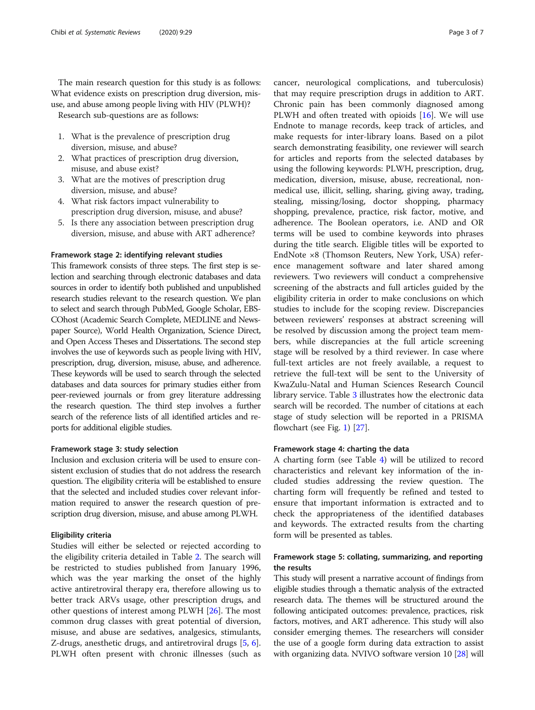The main research question for this study is as follows: What evidence exists on prescription drug diversion, misuse, and abuse among people living with HIV (PLWH)?

Research sub-questions are as follows:

- 1. What is the prevalence of prescription drug diversion, misuse, and abuse?
- 2. What practices of prescription drug diversion, misuse, and abuse exist?
- 3. What are the motives of prescription drug diversion, misuse, and abuse?
- 4. What risk factors impact vulnerability to prescription drug diversion, misuse, and abuse?
- 5. Is there any association between prescription drug diversion, misuse, and abuse with ART adherence?

# Framework stage 2: identifying relevant studies

This framework consists of three steps. The first step is selection and searching through electronic databases and data sources in order to identify both published and unpublished research studies relevant to the research question. We plan to select and search through PubMed, Google Scholar, EBS-COhost (Academic Search Complete, MEDLINE and Newspaper Source), World Health Organization, Science Direct, and Open Access Theses and Dissertations. The second step involves the use of keywords such as people living with HIV, prescription, drug, diversion, misuse, abuse, and adherence. These keywords will be used to search through the selected databases and data sources for primary studies either from peer-reviewed journals or from grey literature addressing the research question. The third step involves a further search of the reference lists of all identified articles and reports for additional eligible studies.

# Framework stage 3: study selection

Inclusion and exclusion criteria will be used to ensure consistent exclusion of studies that do not address the research question. The eligibility criteria will be established to ensure that the selected and included studies cover relevant information required to answer the research question of prescription drug diversion, misuse, and abuse among PLWH.

## Eligibility criteria

Studies will either be selected or rejected according to the eligibility criteria detailed in Table [2](#page-3-0). The search will be restricted to studies published from January 1996, which was the year marking the onset of the highly active antiretroviral therapy era, therefore allowing us to better track ARVs usage, other prescription drugs, and other questions of interest among PLWH [[26\]](#page-6-0). The most common drug classes with great potential of diversion, misuse, and abuse are sedatives, analgesics, stimulants, Z-drugs, anesthetic drugs, and antiretroviral drugs [\[5](#page-5-0), [6](#page-5-0)]. PLWH often present with chronic illnesses (such as cancer, neurological complications, and tuberculosis) that may require prescription drugs in addition to ART. Chronic pain has been commonly diagnosed among PLWH and often treated with opioids  $[16]$ . We will use Endnote to manage records, keep track of articles, and make requests for inter-library loans. Based on a pilot search demonstrating feasibility, one reviewer will search for articles and reports from the selected databases by using the following keywords: PLWH, prescription, drug, medication, diversion, misuse, abuse, recreational, nonmedical use, illicit, selling, sharing, giving away, trading, stealing, missing/losing, doctor shopping, pharmacy shopping, prevalence, practice, risk factor, motive, and adherence. The Boolean operators, i.e. AND and OR terms will be used to combine keywords into phrases during the title search. Eligible titles will be exported to EndNote ×8 (Thomson Reuters, New York, USA) reference management software and later shared among reviewers. Two reviewers will conduct a comprehensive screening of the abstracts and full articles guided by the eligibility criteria in order to make conclusions on which studies to include for the scoping review. Discrepancies between reviewers' responses at abstract screening will be resolved by discussion among the project team members, while discrepancies at the full article screening stage will be resolved by a third reviewer. In case where full-text articles are not freely available, a request to retrieve the full-text will be sent to the University of KwaZulu-Natal and Human Sciences Research Council library service. Table [3](#page-4-0) illustrates how the electronic data search will be recorded. The number of citations at each stage of study selection will be reported in a PRISMA flowchart (see Fig. [1](#page-4-0)) [\[27](#page-6-0)].

# Framework stage 4: charting the data

A charting form (see Table [4\)](#page-5-0) will be utilized to record characteristics and relevant key information of the included studies addressing the review question. The charting form will frequently be refined and tested to ensure that important information is extracted and to check the appropriateness of the identified databases and keywords. The extracted results from the charting form will be presented as tables.

# Framework stage 5: collating, summarizing, and reporting the results

This study will present a narrative account of findings from eligible studies through a thematic analysis of the extracted research data. The themes will be structured around the following anticipated outcomes: prevalence, practices, risk factors, motives, and ART adherence. This study will also consider emerging themes. The researchers will consider the use of a google form during data extraction to assist with organizing data. NVIVO software version 10 [[28\]](#page-6-0) will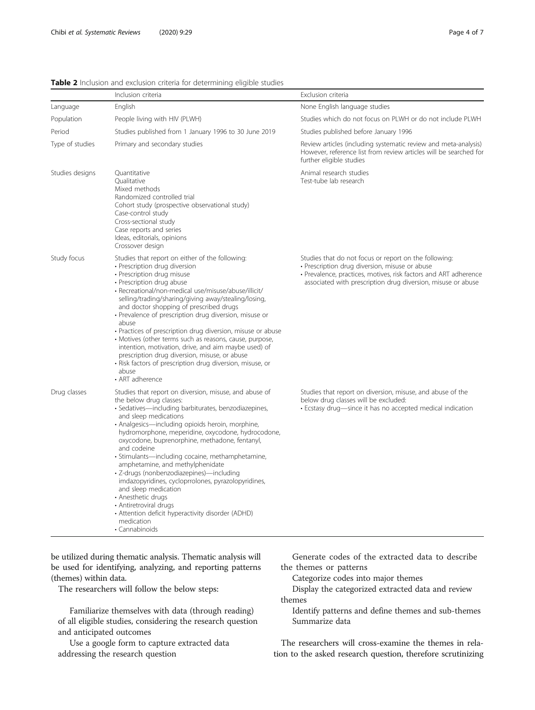|                 | Inclusion criteria                                                                                                                                                                                                                                                                                                                                                                                                                                                                                                                                                                                                                                                                                    | Exclusion criteria                                                                                                                                                                                                                          |  |  |
|-----------------|-------------------------------------------------------------------------------------------------------------------------------------------------------------------------------------------------------------------------------------------------------------------------------------------------------------------------------------------------------------------------------------------------------------------------------------------------------------------------------------------------------------------------------------------------------------------------------------------------------------------------------------------------------------------------------------------------------|---------------------------------------------------------------------------------------------------------------------------------------------------------------------------------------------------------------------------------------------|--|--|
| Language        | English                                                                                                                                                                                                                                                                                                                                                                                                                                                                                                                                                                                                                                                                                               | None English language studies                                                                                                                                                                                                               |  |  |
| Population      | People living with HIV (PLWH)                                                                                                                                                                                                                                                                                                                                                                                                                                                                                                                                                                                                                                                                         | Studies which do not focus on PLWH or do not include PLWH                                                                                                                                                                                   |  |  |
| Period          | Studies published from 1 January 1996 to 30 June 2019                                                                                                                                                                                                                                                                                                                                                                                                                                                                                                                                                                                                                                                 | Studies published before January 1996                                                                                                                                                                                                       |  |  |
| Type of studies | Primary and secondary studies                                                                                                                                                                                                                                                                                                                                                                                                                                                                                                                                                                                                                                                                         | Review articles (including systematic review and meta-analysis)<br>However, reference list from review articles will be searched for<br>further eligible studies                                                                            |  |  |
| Studies designs | Quantitative<br>Oualitative<br>Mixed methods<br>Randomized controlled trial<br>Cohort study (prospective observational study)<br>Case-control study<br>Cross-sectional study<br>Case reports and series<br>Ideas, editorials, opinions<br>Crossover design                                                                                                                                                                                                                                                                                                                                                                                                                                            | Animal research studies<br>Test-tube lab research                                                                                                                                                                                           |  |  |
| Study focus     | Studies that report on either of the following:<br>• Prescription drug diversion<br>· Prescription drug misuse<br>• Prescription drug abuse<br>· Recreational/non-medical use/misuse/abuse/illicit/<br>selling/trading/sharing/giving away/stealing/losing,<br>and doctor shopping of prescribed drugs<br>• Prevalence of prescription drug diversion, misuse or<br>abuse<br>• Practices of prescription drug diversion, misuse or abuse<br>• Motives (other terms such as reasons, cause, purpose,<br>intention, motivation, drive, and aim maybe used) of<br>prescription drug diversion, misuse, or abuse<br>• Risk factors of prescription drug diversion, misuse, or<br>abuse<br>• ART adherence | Studies that do not focus or report on the following:<br>· Prescription drug diversion, misuse or abuse<br>• Prevalence, practices, motives, risk factors and ART adherence<br>associated with prescription drug diversion, misuse or abuse |  |  |
| Drug classes    | Studies that report on diversion, misuse, and abuse of<br>the below drug classes:<br>· Sedatives-including barbiturates, benzodiazepines,<br>and sleep medications<br>· Analgesics-including opioids heroin, morphine,<br>hydromorphone, meperidine, oxycodone, hydrocodone,<br>oxycodone, buprenorphine, methadone, fentanyl,<br>and codeine<br>· Stimulants—including cocaine, methamphetamine,<br>amphetamine, and methylphenidate<br>· Z-drugs (nonbenzodiazepines)-including<br>imdazopyridines, cycloprrolones, pyrazolopyridines,<br>and sleep medication<br>• Anesthetic drugs<br>• Antiretroviral drugs<br>• Attention deficit hyperactivity disorder (ADHD)<br>medication<br>• Cannabinoids | Studies that report on diversion, misuse, and abuse of the<br>below drug classes will be excluded:<br>• Ecstasy drug—since it has no accepted medical indication                                                                            |  |  |

# <span id="page-3-0"></span>Table 2 Inclusion and exclusion criteria for determining eligible studies

be utilized during thematic analysis. Thematic analysis will be used for identifying, analyzing, and reporting patterns (themes) within data.

The researchers will follow the below steps:

Familiarize themselves with data (through reading) of all eligible studies, considering the research question and anticipated outcomes

Use a google form to capture extracted data addressing the research question

Generate codes of the extracted data to describe the themes or patterns

Categorize codes into major themes

Display the categorized extracted data and review themes

Identify patterns and define themes and sub-themes Summarize data

The researchers will cross-examine the themes in relation to the asked research question, therefore scrutinizing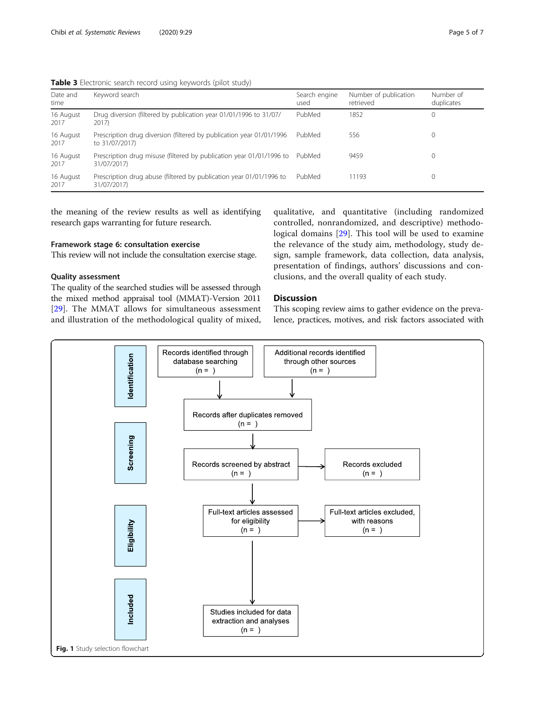<span id="page-4-0"></span>

|  | Table 3 Electronic search record using keywords (pilot study) |  |  |  |  |  |  |
|--|---------------------------------------------------------------|--|--|--|--|--|--|
|--|---------------------------------------------------------------|--|--|--|--|--|--|

| Date and<br>time  | Keyword search                                                                             | Search engine<br>used | Number of publication<br>retrieved | Number of<br>duplicates |
|-------------------|--------------------------------------------------------------------------------------------|-----------------------|------------------------------------|-------------------------|
| 16 August<br>2017 | Drug diversion (filtered by publication year 01/01/1996 to 31/07/<br>2017)                 | PubMed                | 1852                               | U                       |
| 16 August<br>2017 | Prescription drug diversion (filtered by publication year 01/01/1996<br>to 31/07/2017)     | PubMed                | 556                                | 0                       |
| 16 August<br>2017 | Prescription drug misuse (filtered by publication year 01/01/1996 to PubMed<br>31/07/2017) |                       | 9459                               | 0                       |
| 16 August<br>2017 | Prescription drug abuse (filtered by publication year 01/01/1996 to<br>31/07/2017)         | PubMed                | 11193                              | 0                       |

the meaning of the review results as well as identifying research gaps warranting for future research.

# Framework stage 6: consultation exercise

This review will not include the consultation exercise stage.

# Quality assessment

The quality of the searched studies will be assessed through the mixed method appraisal tool (MMAT)-Version 2011 [[29\]](#page-6-0). The MMAT allows for simultaneous assessment and illustration of the methodological quality of mixed,

qualitative, and quantitative (including randomized controlled, nonrandomized, and descriptive) methodological domains [\[29](#page-6-0)]. This tool will be used to examine the relevance of the study aim, methodology, study design, sample framework, data collection, data analysis, presentation of findings, authors' discussions and conclusions, and the overall quality of each study.

# **Discussion**

This scoping review aims to gather evidence on the prevalence, practices, motives, and risk factors associated with

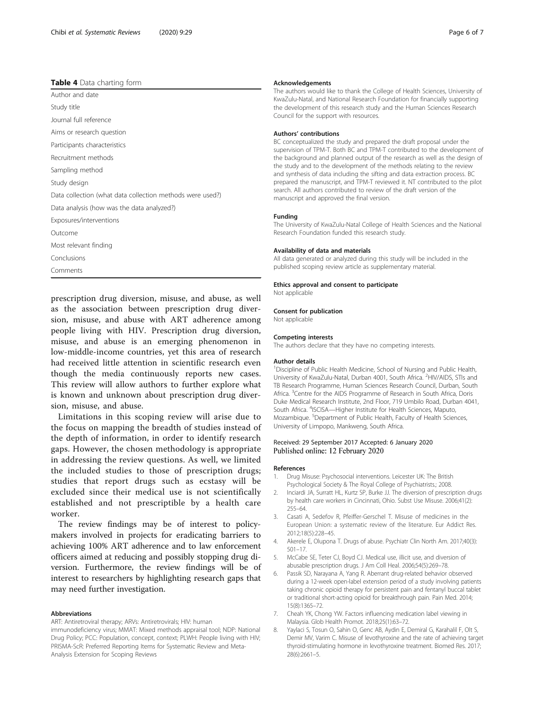# <span id="page-5-0"></span>Table 4 Data charting form

Author and date Study title Journal full reference Aims or research question Participants characteristics Recruitment methods Sampling method Study design Data collection (what data collection methods were used?) Data analysis (how was the data analyzed?) Exposures/interventions Outcome Most relevant finding Conclusions Comments

prescription drug diversion, misuse, and abuse, as well as the association between prescription drug diversion, misuse, and abuse with ART adherence among people living with HIV. Prescription drug diversion, misuse, and abuse is an emerging phenomenon in low-middle-income countries, yet this area of research had received little attention in scientific research even though the media continuously reports new cases. This review will allow authors to further explore what is known and unknown about prescription drug diversion, misuse, and abuse.

Limitations in this scoping review will arise due to the focus on mapping the breadth of studies instead of the depth of information, in order to identify research gaps. However, the chosen methodology is appropriate in addressing the review questions. As well, we limited the included studies to those of prescription drugs; studies that report drugs such as ecstasy will be excluded since their medical use is not scientifically established and not prescriptible by a health care worker.

The review findings may be of interest to policymakers involved in projects for eradicating barriers to achieving 100% ART adherence and to law enforcement officers aimed at reducing and possibly stopping drug diversion. Furthermore, the review findings will be of interest to researchers by highlighting research gaps that may need further investigation.

#### Abbreviations

ART: Antiretroviral therapy; ARVs: Antiretrovirals; HIV: human

immunodeficiency virus; MMAT: Mixed methods appraisal tool; NDP: National Drug Policy; PCC: Population, concept, context; PLWH: People living with HIV; PRISMA-ScR: Preferred Reporting Items for Systematic Review and Meta-Analysis Extension for Scoping Reviews

#### Acknowledgements

The authors would like to thank the College of Health Sciences, University of KwaZulu-Natal, and National Research Foundation for financially supporting the development of this research study and the Human Sciences Research Council for the support with resources.

#### Authors' contributions

BC conceptualized the study and prepared the draft proposal under the supervision of TPM-T. Both BC and TPM-T contributed to the development of the background and planned output of the research as well as the design of the study and to the development of the methods relating to the review and synthesis of data including the sifting and data extraction process. BC prepared the manuscript, and TPM-T reviewed it. NT contributed to the pilot search. All authors contributed to review of the draft version of the manuscript and approved the final version.

#### Funding

The University of KwaZulu-Natal College of Health Sciences and the National Research Foundation funded this research study.

#### Availability of data and materials

All data generated or analyzed during this study will be included in the published scoping review article as supplementary material.

#### Ethics approval and consent to participate Not applicable

# Consent for publication

Not applicable

# Competing interests

The authors declare that they have no competing interests.

### Author details

<sup>1</sup> Discipline of Public Health Medicine, School of Nursing and Public Health University of KwaZulu-Natal, Durban 4001, South Africa. <sup>2</sup>HIV/AIDS, STIs and TB Research Programme, Human Sciences Research Council, Durban, South Africa. <sup>3</sup> Centre for the AIDS Programme of Research in South Africa, Doris Duke Medical Research Institute, 2nd Floor, 719 Umbilo Road, Durban 4041, South Africa. <sup>4</sup>ISCISA-Higher Institute for Health Sciences, Maputo Mozambique. <sup>5</sup>Department of Public Health, Faculty of Health Sciences, University of Limpopo, Mankweng, South Africa.

# Received: 29 September 2017 Accepted: 6 January 2020 Published online: 12 February 2020

#### References

- 1. Drug Misuse: Psychosocial interventions. Leicester UK: The British Psychological Society & The Royal College of Psychiatrists.; 2008.
- 2. Inciardi JA, Surratt HL, Kurtz SP, Burke JJ. The diversion of prescription drugs by health care workers in Cincinnati, Ohio. Subst Use Misuse. 2006;41(2): 255–64.
- 3. Casati A, Sedefov R, Pfeiffer-Gerschel T. Misuse of medicines in the European Union: a systematic review of the literature. Eur Addict Res. 2012;18(5):228–45.
- 4. Akerele E, Olupona T. Drugs of abuse. Psychiatr Clin North Am. 2017;40(3): 501–17.
- 5. McCabe SE, Teter CJ, Boyd CJ. Medical use, illicit use, and diversion of abusable prescription drugs. J Am Coll Heal. 2006;54(5):269–78.
- 6. Passik SD, Narayana A, Yang R. Aberrant drug-related behavior observed during a 12-week open-label extension period of a study involving patients taking chronic opioid therapy for persistent pain and fentanyl buccal tablet or traditional short-acting opioid for breakthrough pain. Pain Med. 2014; 15(8):1365–72.
- 7. Cheah YK, Chong YW. Factors influencing medication label viewing in Malaysia. Glob Health Promot. 2018;25(1):63–72.
- 8. Yaylaci S, Tosun O, Sahin O, Genc AB, Aydin E, Demiral G, Karahalil F, Olt S, Demir MV, Varim C. Misuse of levothyroxine and the rate of achieving target thyroid-stimulating hormone in levothyroxine treatment. Biomed Res. 2017; 28(6):2661–5.